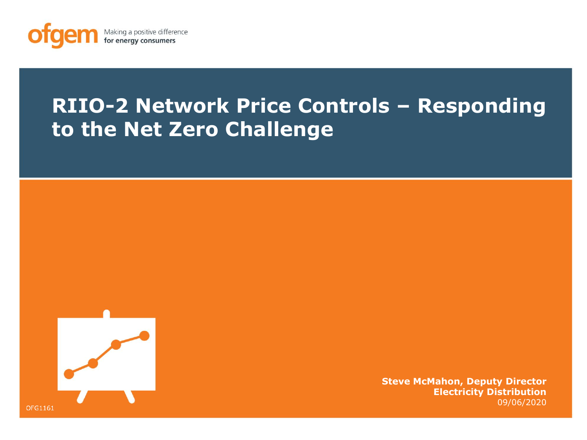

# **RIIO-2 Network Price Controls – Responding to the Net Zero Challenge**



**Steve McMahon, Deputy Director Electricity Distribution** 09/06/2020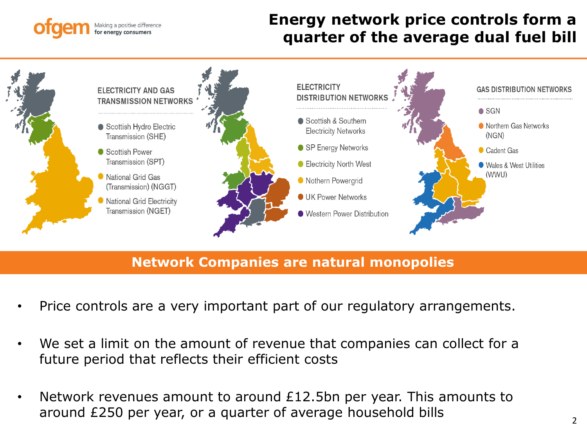#### king a positive difference for energy consumers

## quarter of the average dual fuel bill **Energy network price controls form a**



**Network Companies are natural monopolies**

- Price controls are a very important part of our regulatory arrangements.
- We set a limit on the amount of revenue that companies can collect for a future period that reflects their efficient costs
- Network revenues amount to around £12.5bn per year. This amounts to around £250 per year, or a quarter of average household bills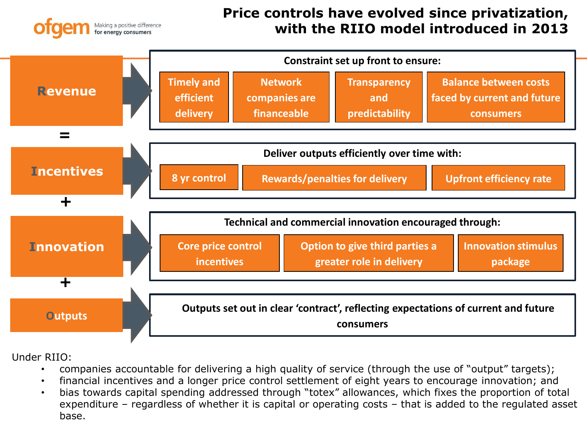

### **Price controls have evolved since privatization, with the RIIO model introduced in 2013**



Under RIIO:

- companies accountable for delivering a high quality of service (through the use of "output" targets);
- financial incentives and a longer price control settlement of eight years to encourage innovation; and
- bias towards capital spending addressed through "totex" allowances, which fixes the proportion of total expenditure – regardless of whether it is capital or operating costs – that is added to the regulated asset base.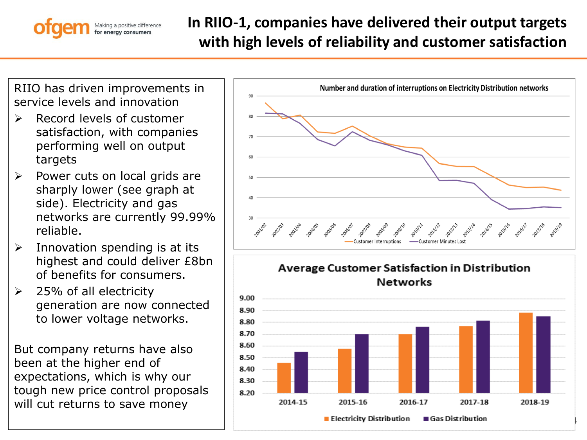#### laking a positive difference for energy consumers

# **In RIIO-1, companies have delivered their output targets with high levels of reliability and customer satisfaction**

RIIO has driven improvements in service levels and innovation

- ➢ Record levels of customer satisfaction, with companies performing well on output targets
- ➢ Power cuts on local grids are sharply lower (see graph at side). Electricity and gas networks are currently 99.99% reliable.
- $\triangleright$  Innovation spending is at its highest and could deliver £8bn of benefits for consumers.
- $\geq$  25% of all electricity generation are now connected to lower voltage networks.

But company returns have also been at the higher end of expectations, which is why our tough new price control proposals will cut returns to save money

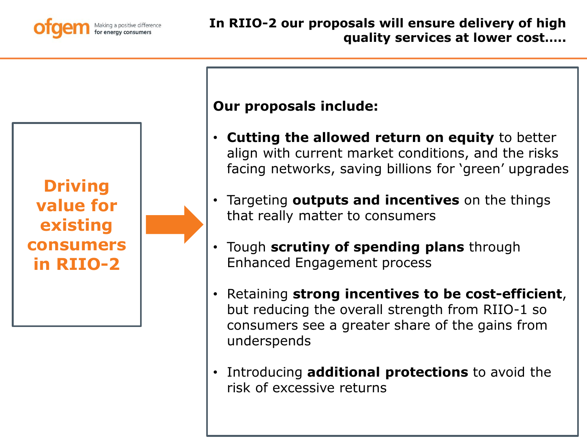

**Driving value for existing consumers in RIIO-2**



### **Our proposals include:**

- **Cutting the allowed return on equity** to better align with current market conditions, and the risks facing networks, saving billions for 'green' upgrades
- Targeting **outputs and incentives** on the things that really matter to consumers
- Tough **scrutiny of spending plans** through Enhanced Engagement process
- Retaining **strong incentives to be cost-efficient**, but reducing the overall strength from RIIO-1 so consumers see a greater share of the gains from underspends
- Introducing **additional protections** to avoid the risk of excessive returns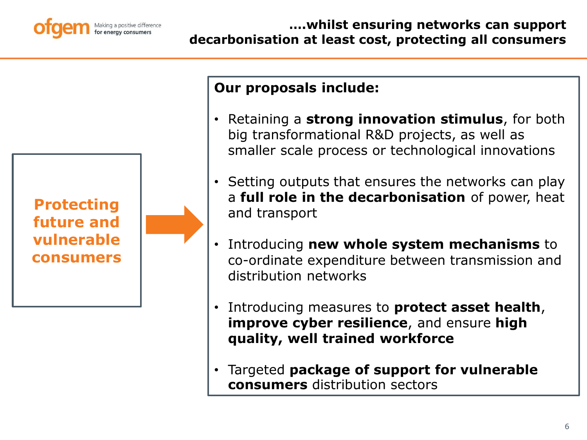

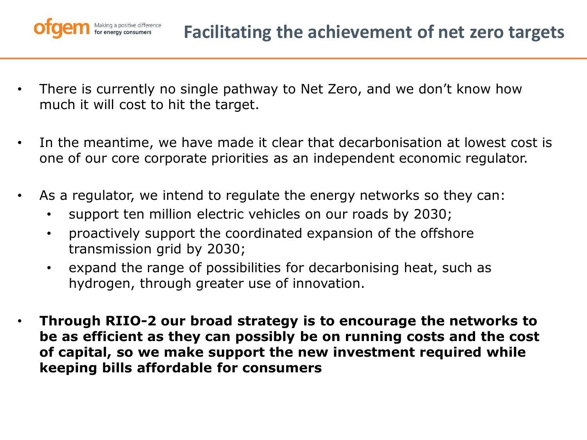

- There is currently no single pathway to Net Zero, and we don't know how much it will cost to hit the target.
- In the meantime, we have made it clear that decarbonisation at lowest cost is one of our core corporate priorities as an independent economic regulator.
- As a regulator, we intend to regulate the energy networks so they can:
	- support ten million electric vehicles on our roads by 2030;
	- proactively support the coordinated expansion of the offshore transmission grid by 2030;
	- expand the range of possibilities for decarbonising heat, such as hydrogen, through greater use of innovation.
- **Through RIIO-2 our broad strategy is to encourage the networks to be as efficient as they can possibly be on running costs and the cost of capital, so we make support the new investment required while keeping bills affordable for consumers**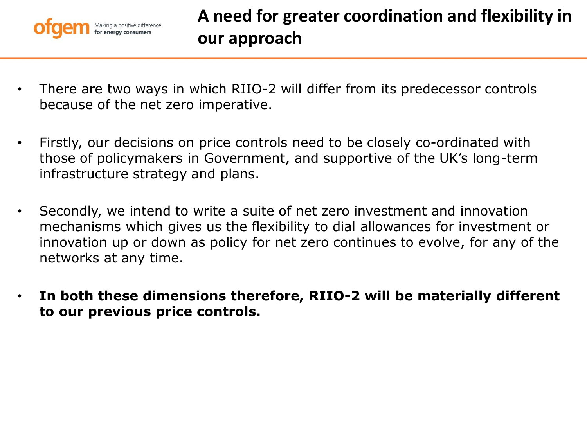

- There are two ways in which RIIO-2 will differ from its predecessor controls because of the net zero imperative.
- Firstly, our decisions on price controls need to be closely co-ordinated with those of policymakers in Government, and supportive of the UK's long-term infrastructure strategy and plans.
- Secondly, we intend to write a suite of net zero investment and innovation mechanisms which gives us the flexibility to dial allowances for investment or innovation up or down as policy for net zero continues to evolve, for any of the networks at any time.
- **In both these dimensions therefore, RIIO-2 will be materially different to our previous price controls.**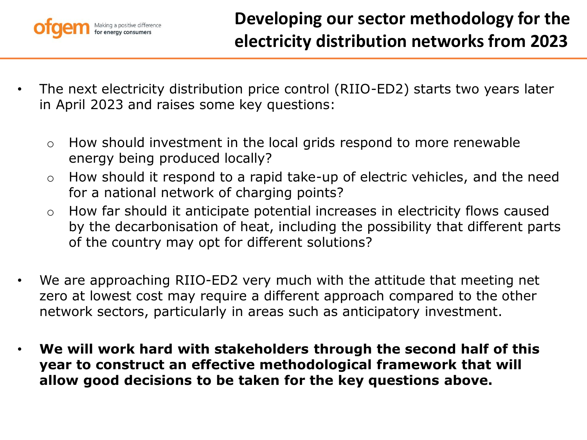

- The next electricity distribution price control (RIIO-ED2) starts two years later in April 2023 and raises some key questions:
	- o How should investment in the local grids respond to more renewable energy being produced locally?
	- o How should it respond to a rapid take-up of electric vehicles, and the need for a national network of charging points?
	- o How far should it anticipate potential increases in electricity flows caused by the decarbonisation of heat, including the possibility that different parts of the country may opt for different solutions?
- We are approaching RIIO-ED2 very much with the attitude that meeting net zero at lowest cost may require a different approach compared to the other network sectors, particularly in areas such as anticipatory investment.
- **We will work hard with stakeholders through the second half of this year to construct an effective methodological framework that will allow good decisions to be taken for the key questions above.**